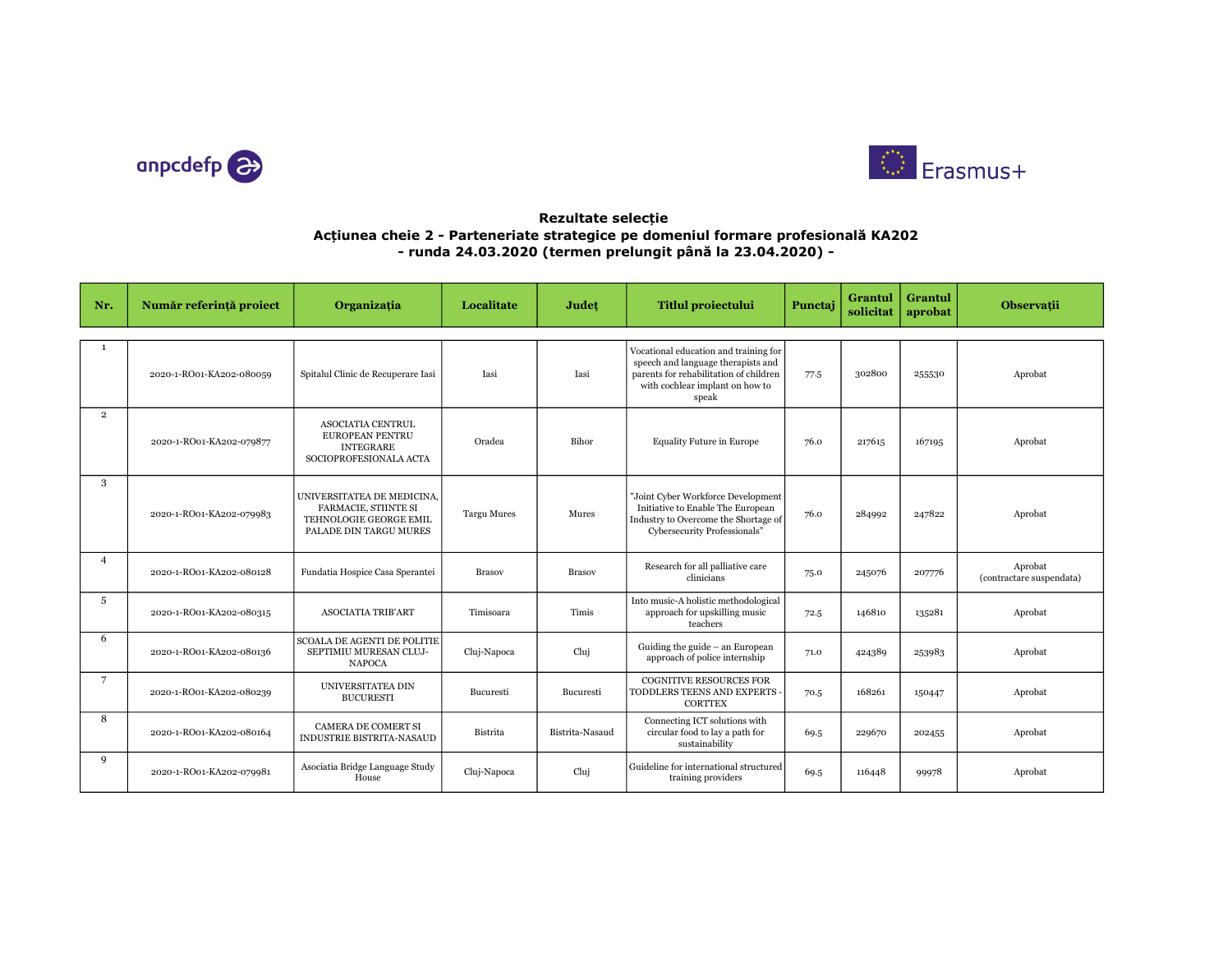



## Rezultate selecție Acțiunea cheie 2 - Parteneriate strategice pe domeniul formare profesională KA202 - runda 24.03.2020 (termen prelungit până la 23.04.2020) -

| Nr.            | Număr referință proiect  | Organizația                                                                                                   | Localitate         | Judet           | <b>Titlul proiectului</b>                                                                                                                                         | Punctaj | Grantul<br>solicitat | Grantul<br>aprobat | <b>Observații</b>                   |
|----------------|--------------------------|---------------------------------------------------------------------------------------------------------------|--------------------|-----------------|-------------------------------------------------------------------------------------------------------------------------------------------------------------------|---------|----------------------|--------------------|-------------------------------------|
|                |                          |                                                                                                               |                    |                 |                                                                                                                                                                   |         |                      |                    |                                     |
| $\mathbf{1}$   | 2020-1-RO01-KA202-080059 | Spitalul Clinic de Recuperare Iasi                                                                            | Iasi               | Iasi            | Vocational education and training for<br>speech and language therapists and<br>parents for rehabilitation of children<br>with cochlear implant on how to<br>speak | 77.5    | 302800               | 255530             | Aprobat                             |
| $\overline{2}$ | 2020-1-RO01-KA202-079877 | <b>ASOCIATIA CENTRUL</b><br><b>EUROPEAN PENTRU</b><br><b>INTEGRARE</b><br>SOCIOPROFESIONALA ACTA              | Oradea             | Bihor           | <b>Equality Future in Europe</b>                                                                                                                                  | 76.0    | 217615               | 167195             | Aprobat                             |
| 3              | 2020-1-RO01-KA202-079983 | UNIVERSITATEA DE MEDICINA,<br><b>FARMACIE, STIINTE SI</b><br>TEHNOLOGIE GEORGE EMIL<br>PALADE DIN TARGU MURES | <b>Targu Mures</b> | Mures           | "Joint Cyber Workforce Development<br>Initiative to Enable The European<br>Industry to Overcome the Shortage of<br>Cybersecurity Professionals"                   | 76.0    | 284992               | 247822             | Aprobat                             |
| $\overline{4}$ | 2020-1-RO01-KA202-080128 | Fundatia Hospice Casa Sperantei                                                                               | <b>Brasov</b>      | <b>Brasov</b>   | Research for all palliative care<br>clinicians                                                                                                                    | 75.0    | 245076               | 207776             | Aprobat<br>(contractare suspendata) |
| 5              | 2020-1-RO01-KA202-080315 | <b>ASOCIATIA TRIB'ART</b>                                                                                     | Timisoara          | Timis           | Into music-A holistic methodological<br>approach for upskilling music<br>teachers                                                                                 | 72.5    | 146810               | 135281             | Aprobat                             |
| 6              | 2020-1-RO01-KA202-080136 | <b>SCOALA DE AGENTI DE POLITIE</b><br>SEPTIMIU MURESAN CLUJ-<br><b>NAPOCA</b>                                 | Cluj-Napoca        | Cluj            | Guiding the guide - an European<br>approach of police internship                                                                                                  | 71.0    | 424389               | 253983             | Aprobat                             |
| $\overline{7}$ | 2020-1-RO01-KA202-080239 | UNIVERSITATEA DIN<br><b>BUCURESTI</b>                                                                         | Bucuresti          | Bucuresti       | <b>COGNITIVE RESOURCES FOR</b><br>TODDLERS TEENS AND EXPERTS<br><b>CORTTEX</b>                                                                                    | 70.5    | 168261               | 150447             | Aprobat                             |
| 8              | 2020-1-RO01-KA202-080164 | CAMERA DE COMERT SI<br>INDUSTRIE BISTRITA-NASAUD                                                              | Bistrita           | Bistrita-Nasaud | Connecting ICT solutions with<br>circular food to lay a path for<br>sustainability                                                                                | 69.5    | 229670               | 202455             | Aprobat                             |
| 9              | 2020-1-RO01-KA202-079981 | Asociatia Bridge Language Study<br>House                                                                      | Cluj-Napoca        | Cluj            | Guideline for international structured<br>training providers                                                                                                      | 69.5    | 116448               | 99978              | Aprobat                             |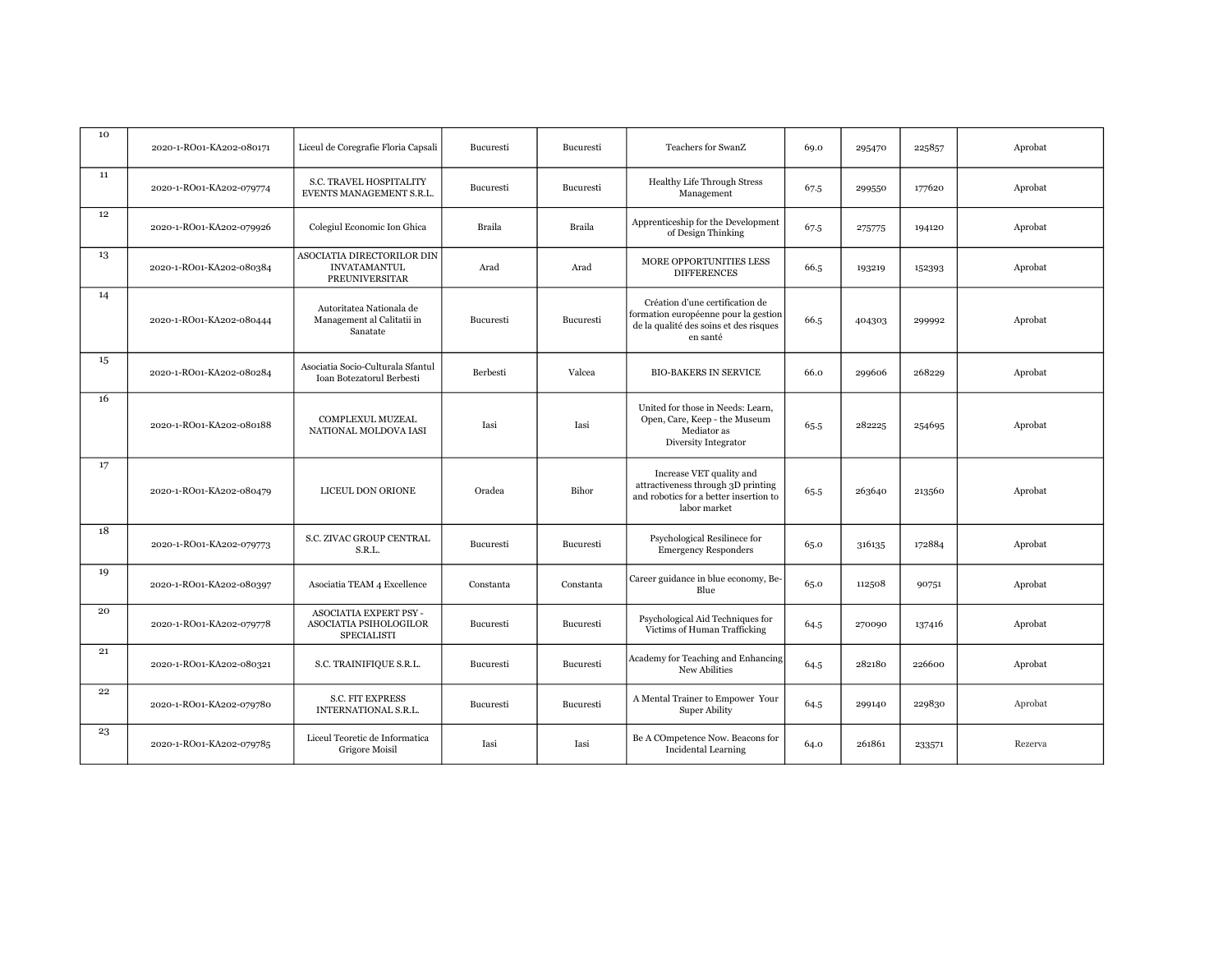| 10 | 2020-1-RO01-KA202-080171 | Liceul de Coregrafie Floria Capsali                                        | Bucuresti | Bucuresti     | Teachers for SwanZ                                                                                                            | 69.0 | 295470 | 225857 | Aprobat |
|----|--------------------------|----------------------------------------------------------------------------|-----------|---------------|-------------------------------------------------------------------------------------------------------------------------------|------|--------|--------|---------|
| 11 | 2020-1-RO01-KA202-079774 | S.C. TRAVEL HOSPITALITY<br>EVENTS MANAGEMENT S.R.L.                        | Bucuresti | Bucuresti     | <b>Healthy Life Through Stress</b><br>Management                                                                              | 67.5 | 299550 | 177620 | Aprobat |
| 12 | 2020-1-RO01-KA202-079926 | Colegiul Economic Ion Ghica                                                | Braila    | <b>Braila</b> | Apprenticeship for the Development<br>of Design Thinking                                                                      | 67.5 | 275775 | 194120 | Aprobat |
| 13 | 2020-1-RO01-KA202-080384 | ASOCIATIA DIRECTORILOR DIN<br><b>INVATAMANTUL</b><br><b>PREUNIVERSITAR</b> | Arad      | Arad          | MORE OPPORTUNITIES LESS<br><b>DIFFERENCES</b>                                                                                 | 66.5 | 193219 | 152393 | Aprobat |
| 14 | 2020-1-RO01-KA202-080444 | Autoritatea Nationala de<br>Management al Calitatii in<br>Sanatate         | Bucuresti | Bucuresti     | Création d'une certification de<br>formation européenne pour la gestion<br>de la qualité des soins et des risques<br>en santé | 66.5 | 404303 | 299992 | Aprobat |
| 15 | 2020-1-RO01-KA202-080284 | Asociatia Socio-Culturala Sfantul<br>Ioan Botezatorul Berbesti             | Berbesti  | Valcea        | <b>BIO-BAKERS IN SERVICE</b>                                                                                                  | 66.0 | 299606 | 268229 | Aprobat |
| 16 | 2020-1-RO01-KA202-080188 | COMPLEXUL MUZEAL<br>NATIONAL MOLDOVA IASI                                  | Iasi      | Iasi          | United for those in Needs: Learn,<br>Open, Care, Keep - the Museum<br>Mediator as<br>Diversity Integrator                     | 65.5 | 282225 | 254695 | Aprobat |
| 17 | 2020-1-RO01-KA202-080479 | LICEUL DON ORIONE                                                          | Oradea    | Bihor         | Increase VET quality and<br>attractiveness through 3D printing<br>and robotics for a better insertion to<br>labor market      | 65.5 | 263640 | 213560 | Aprobat |
| 18 | 2020-1-RO01-KA202-079773 | S.C. ZIVAC GROUP CENTRAL<br>S.R.L.                                         | Bucuresti | Bucuresti     | Psychological Resilinece for<br><b>Emergency Responders</b>                                                                   | 65.0 | 316135 | 172884 | Aprobat |
| 19 | 2020-1-RO01-KA202-080397 | Asociatia TEAM 4 Excellence                                                | Constanta | Constanta     | Career guidance in blue economy, Be-<br>Blue                                                                                  | 65.0 | 112508 | 90751  | Aprobat |
| 20 | 2020-1-RO01-KA202-079778 | ASOCIATIA EXPERT PSY -<br>ASOCIATIA PSIHOLOGILOR<br>SPECIALISTI            | Bucuresti | Bucuresti     | Psychological Aid Techniques for<br>Victims of Human Trafficking                                                              | 64.5 | 270090 | 137416 | Aprobat |
| 21 | 2020-1-RO01-KA202-080321 | S.C. TRAINIFIQUE S.R.L.                                                    | Bucuresti | Bucuresti     | Academy for Teaching and Enhancing<br>New Abilities                                                                           | 64.5 | 282180 | 226600 | Aprobat |
| 22 | 2020-1-RO01-KA202-079780 | <b>S.C. FIT EXPRESS</b><br>INTERNATIONAL S.R.L.                            | Bucuresti | Bucuresti     | A Mental Trainer to Empower Your<br><b>Super Ability</b>                                                                      | 64.5 | 299140 | 229830 | Aprobat |
| 23 | 2020-1-RO01-KA202-079785 | Liceul Teoretic de Informatica<br>Grigore Moisil                           | Iasi      | Iasi          | Be A COmpetence Now. Beacons for<br>Incidental Learning                                                                       | 64.0 | 261861 | 233571 | Rezerva |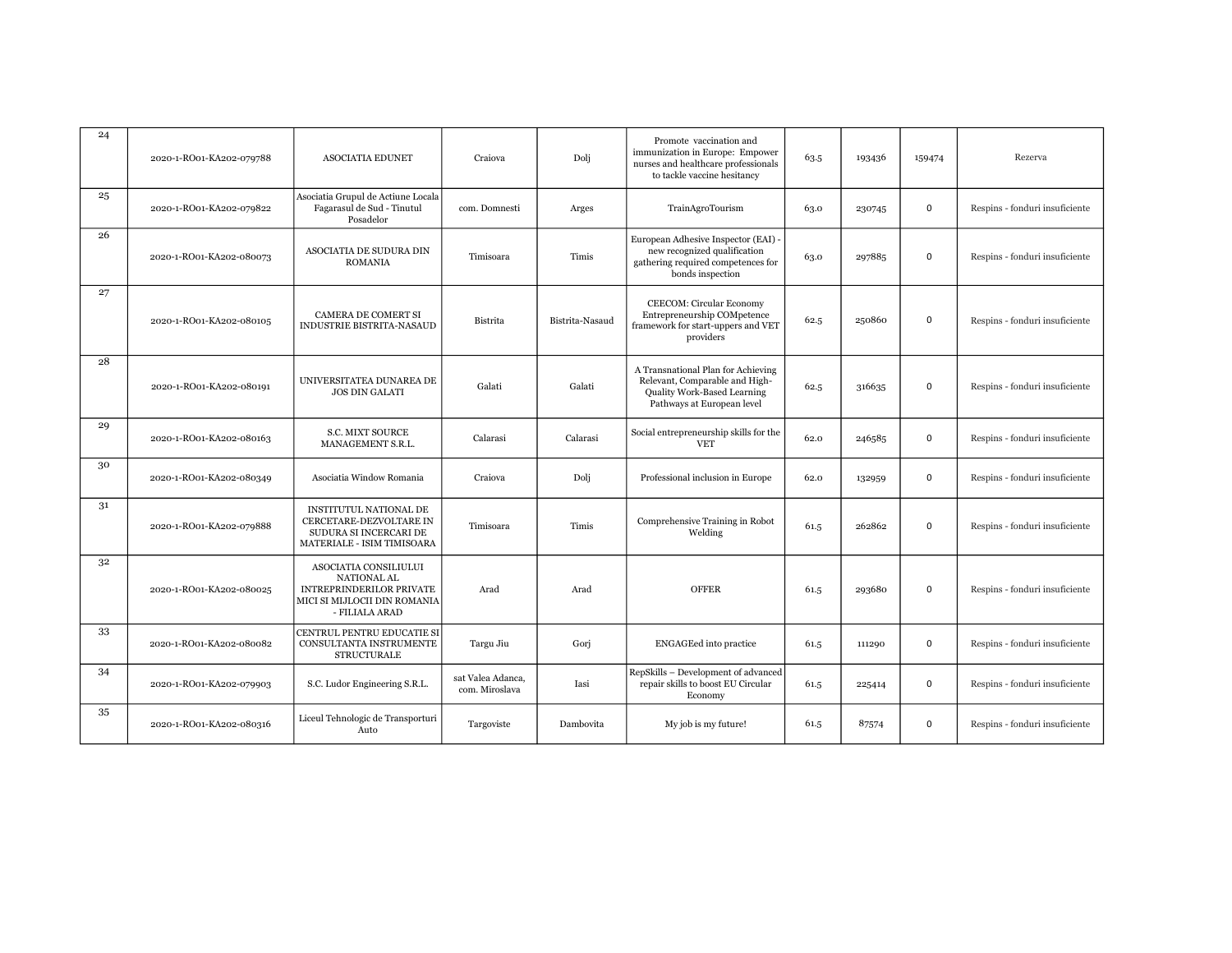| 24 | 2020-1-RO01-KA202-079788 | <b>ASOCIATIA EDUNET</b>                                                                                                   | Craiova                             | Dolj            | Promote vaccination and<br>immunization in Europe: Empower<br>nurses and healthcare professionals<br>to tackle vaccine hesitancy  | 63.5 | 193436 | 159474      | Rezerva                        |
|----|--------------------------|---------------------------------------------------------------------------------------------------------------------------|-------------------------------------|-----------------|-----------------------------------------------------------------------------------------------------------------------------------|------|--------|-------------|--------------------------------|
| 25 | 2020-1-RO01-KA202-079822 | Asociatia Grupul de Actiune Locala<br>Fagarasul de Sud - Tinutul<br>Posadelor                                             | com. Domnesti                       | Arges           | TrainAgroTourism                                                                                                                  | 63.0 | 230745 | 0           | Respins - fonduri insuficiente |
| 26 | 2020-1-RO01-KA202-080073 | ASOCIATIA DE SUDURA DIN<br><b>ROMANIA</b>                                                                                 | Timisoara                           | Timis           | European Adhesive Inspector (EAI) -<br>new recognized qualification<br>gathering required competences for<br>bonds inspection     | 63.0 | 297885 | 0           | Respins - fonduri insuficiente |
| 27 | 2020-1-RO01-KA202-080105 | <b>CAMERA DE COMERT SI</b><br><b>INDUSTRIE BISTRITA-NASAUD</b>                                                            | Bistrita                            | Bistrita-Nasaud | <b>CEECOM: Circular Economy</b><br>Entrepreneurship COMpetence<br>framework for start-uppers and VET<br>providers                 | 62.5 | 250860 | 0           | Respins - fonduri insuficiente |
| 28 | 2020-1-RO01-KA202-080191 | UNIVERSITATEA DUNAREA DE<br><b>JOS DIN GALATI</b>                                                                         | Galati                              | Galati          | A Transnational Plan for Achieving<br>Relevant, Comparable and High-<br>Quality Work-Based Learning<br>Pathways at European level | 62.5 | 316635 | $\mathbf 0$ | Respins - fonduri insuficiente |
| 29 | 2020-1-RO01-KA202-080163 | <b>S.C. MIXT SOURCE</b><br>MANAGEMENT S.R.L.                                                                              | Calarasi                            | Calarasi        | Social entrepreneurship skills for the<br><b>VET</b>                                                                              | 62.0 | 246585 | $\mathbf 0$ | Respins - fonduri insuficiente |
| 30 | 2020-1-RO01-KA202-080349 | Asociatia Window Romania                                                                                                  | Craiova                             | Dolj            | Professional inclusion in Europe                                                                                                  | 62.0 | 132959 | 0           | Respins - fonduri insuficiente |
| 31 | 2020-1-RO01-KA202-079888 | INSTITUTUL NATIONAL DE<br>CERCETARE-DEZVOLTARE IN<br>SUDURA SI INCERCARI DE<br>MATERIALE - ISIM TIMISOARA                 | Timisoara                           | Timis           | Comprehensive Training in Robot<br>Welding                                                                                        | 61.5 | 262862 | 0           | Respins - fonduri insuficiente |
| 32 | 2020-1-RO01-KA202-080025 | ASOCIATIA CONSILIULUI<br>NATIONAL AL<br><b>INTREPRINDERILOR PRIVATE</b><br>MICI SI MIJLOCII DIN ROMANIA<br>- FILIALA ARAD | Arad                                | Arad            | <b>OFFER</b>                                                                                                                      | 61.5 | 293680 | $\mathbf 0$ | Respins - fonduri insuficiente |
| 33 | 2020-1-RO01-KA202-080082 | CENTRUL PENTRU EDUCATIE SI<br>CONSULTANTA INSTRUMENTE<br><b>STRUCTURALE</b>                                               | Targu Jiu                           | Gori            | <b>ENGAGEed</b> into practice                                                                                                     | 61.5 | 111290 | $\mathbf 0$ | Respins - fonduri insuficiente |
| 34 | 2020-1-RO01-KA202-079903 | S.C. Ludor Engineering S.R.L.                                                                                             | sat Valea Adanca,<br>com. Miroslava | Iasi            | RepSkills - Development of advanced<br>repair skills to boost EU Circular<br>Economy                                              | 61.5 | 225414 | 0           | Respins - fonduri insuficiente |
| 35 | 2020-1-RO01-KA202-080316 | Liceul Tehnologic de Transporturi<br>Auto                                                                                 | Targoviste                          | Dambovita       | My job is my future!                                                                                                              | 61.5 | 87574  | $\mathbf 0$ | Respins - fonduri insuficiente |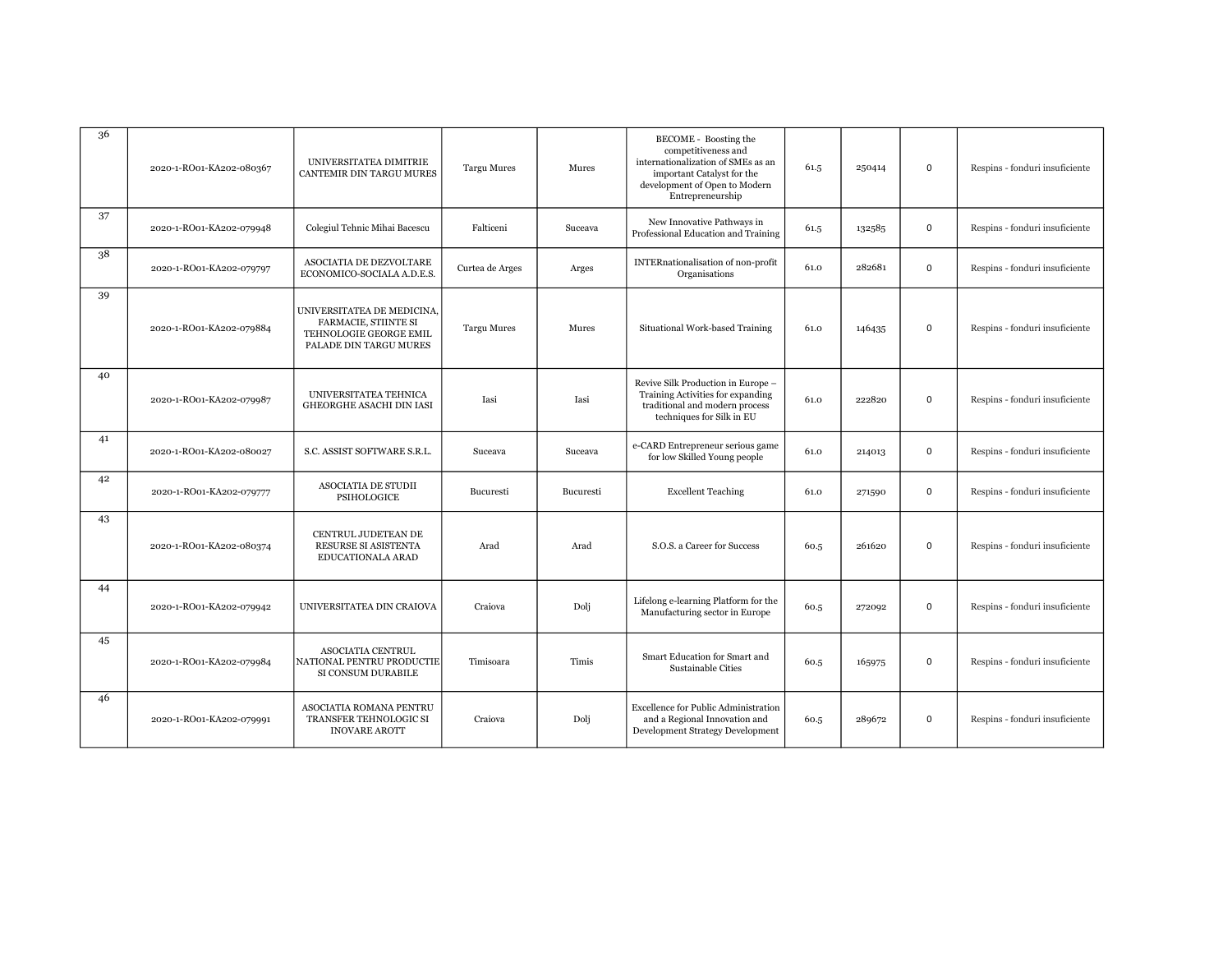| 36 | 2020-1-RO01-KA202-080367 | UNIVERSITATEA DIMITRIE<br>CANTEMIR DIN TARGU MURES                                                            | <b>Targu Mures</b> | Mures     | BECOME - Boosting the<br>competitiveness and<br>internationalization of SMEs as an<br>important Catalyst for the<br>development of Open to Modern<br>Entrepreneurship | 61.5 | 250414 | 0           | Respins - fonduri insuficiente |
|----|--------------------------|---------------------------------------------------------------------------------------------------------------|--------------------|-----------|-----------------------------------------------------------------------------------------------------------------------------------------------------------------------|------|--------|-------------|--------------------------------|
| 37 | 2020-1-RO01-KA202-079948 | Colegiul Tehnic Mihai Bacescu                                                                                 | Falticeni          | Suceava   | New Innovative Pathways in<br>Professional Education and Training                                                                                                     | 61.5 | 132585 | $\mathbf 0$ | Respins - fonduri insuficiente |
| 38 | 2020-1-RO01-KA202-079797 | ASOCIATIA DE DEZVOLTARE<br>ECONOMICO-SOCIALA A.D.E.S.                                                         | Curtea de Arges    | Arges     | <b>INTERnationalisation of non-profit</b><br>Organisations                                                                                                            | 61.0 | 282681 | $\mathbf 0$ | Respins - fonduri insuficiente |
| 39 | 2020-1-RO01-KA202-079884 | UNIVERSITATEA DE MEDICINA,<br><b>FARMACIE, STIINTE SI</b><br>TEHNOLOGIE GEORGE EMIL<br>PALADE DIN TARGU MURES | <b>Targu Mures</b> | Mures     | Situational Work-based Training                                                                                                                                       | 61.0 | 146435 | $\mathbf 0$ | Respins - fonduri insuficiente |
| 40 | 2020-1-RO01-KA202-079987 | UNIVERSITATEA TEHNICA<br>GHEORGHE ASACHI DIN IASI                                                             | Iasi               | Iasi      | Revive Silk Production in Europe -<br>Training Activities for expanding<br>traditional and modern process<br>techniques for Silk in EU                                | 61.0 | 222820 | $\mathbf 0$ | Respins - fonduri insuficiente |
| 41 | 2020-1-RO01-KA202-080027 | S.C. ASSIST SOFTWARE S.R.L.                                                                                   | Suceava            | Suceava   | e-CARD Entrepreneur serious game<br>for low Skilled Young people                                                                                                      | 61.0 | 214013 | $\mathbf 0$ | Respins - fonduri insuficiente |
| 42 | 2020-1-RO01-KA202-079777 | <b>ASOCIATIA DE STUDII</b><br>PSIHOLOGICE                                                                     | Bucuresti          | Bucuresti | <b>Excellent Teaching</b>                                                                                                                                             | 61.0 | 271590 | $\mathbf 0$ | Respins - fonduri insuficiente |
| 43 | 2020-1-RO01-KA202-080374 | CENTRUL JUDETEAN DE<br>RESURSE SI ASISTENTA<br>EDUCATIONALA ARAD                                              | Arad               | Arad      | S.O.S. a Career for Success                                                                                                                                           | 60.5 | 261620 | 0           | Respins - fonduri insuficiente |
| 44 | 2020-1-RO01-KA202-079942 | UNIVERSITATEA DIN CRAIOVA                                                                                     | Craiova            | Dolj      | Lifelong e-learning Platform for the<br>Manufacturing sector in Europe                                                                                                | 60.5 | 272092 | 0           | Respins - fonduri insuficiente |
| 45 | 2020-1-RO01-KA202-079984 | ASOCIATIA CENTRUL<br>NATIONAL PENTRU PRODUCTIE<br>SI CONSUM DURABILE                                          | Timisoara          | Timis     | Smart Education for Smart and<br>Sustainable Cities                                                                                                                   | 60.5 | 165975 | 0           | Respins - fonduri insuficiente |
| 46 | 2020-1-RO01-KA202-079991 | ASOCIATIA ROMANA PENTRU<br>TRANSFER TEHNOLOGIC SI<br><b>INOVARE AROTT</b>                                     | Craiova            | Dolj      | <b>Excellence for Public Administration</b><br>and a Regional Innovation and<br>Development Strategy Development                                                      | 60.5 | 289672 | $\mathbf 0$ | Respins - fonduri insuficiente |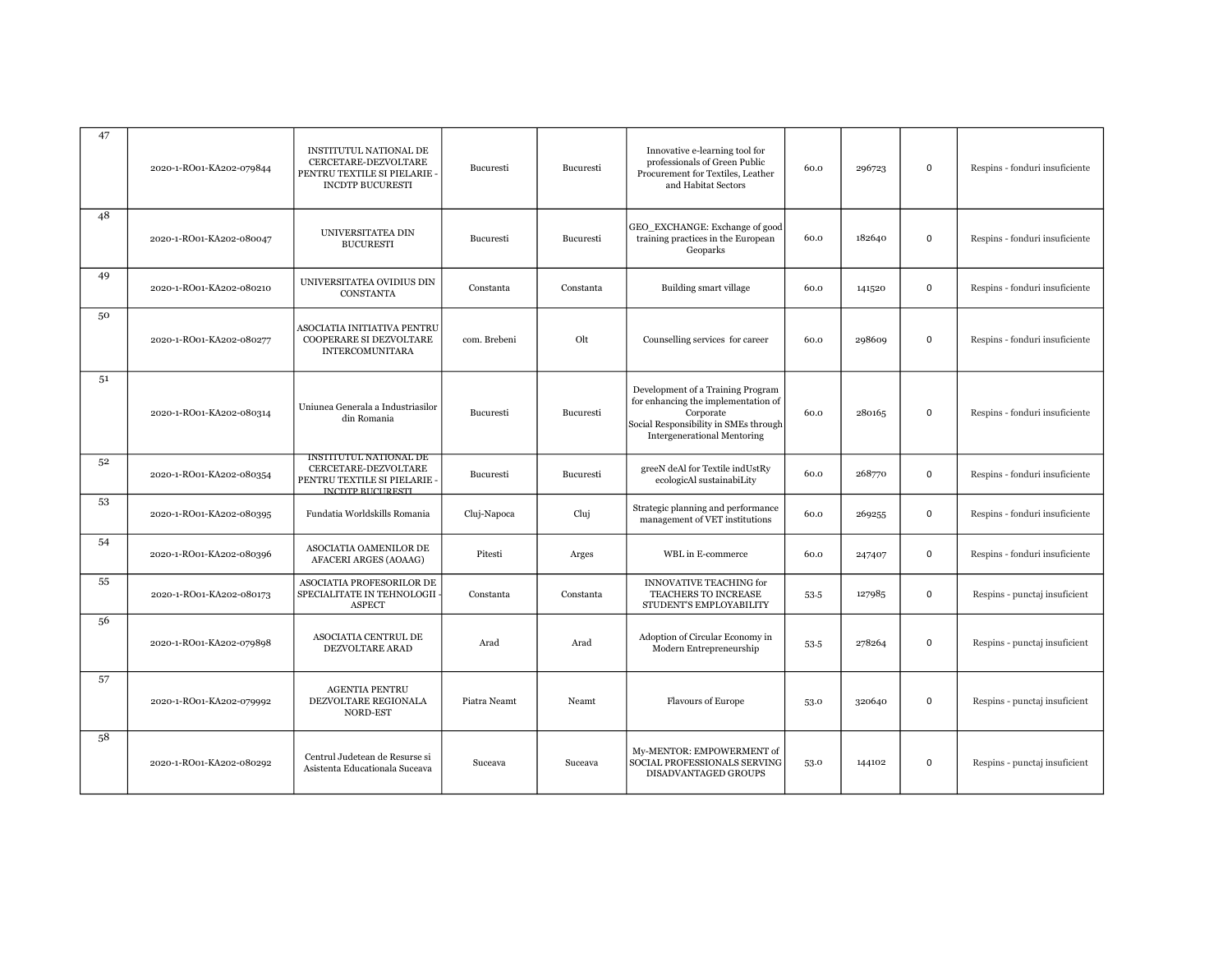| 47             | 2020-1-RO01-KA202-079844 | INSTITUTUL NATIONAL DE<br>CERCETARE-DEZVOLTARE<br>PENTRU TEXTILE SI PIELARIE ·<br><b>INCDTP BUCURESTI</b> | Bucuresti        | Bucuresti | Innovative e-learning tool for<br>professionals of Green Public<br>Procurement for Textiles, Leather<br>and Habitat Sectors                                          | 60.0 | 296723 | $\mathsf 0$ | Respins - fonduri insuficiente |
|----------------|--------------------------|-----------------------------------------------------------------------------------------------------------|------------------|-----------|----------------------------------------------------------------------------------------------------------------------------------------------------------------------|------|--------|-------------|--------------------------------|
| 48             | 2020-1-RO01-KA202-080047 | UNIVERSITATEA DIN<br><b>BUCURESTI</b>                                                                     | Bucuresti        | Bucuresti | GEO_EXCHANGE: Exchange of good<br>training practices in the European<br>Geoparks                                                                                     | 60.0 | 182640 | 0           | Respins - fonduri insuficiente |
| 49             | 2020-1-RO01-KA202-080210 | UNIVERSITATEA OVIDIUS DIN<br>CONSTANTA                                                                    | Constanta        | Constanta | Building smart village                                                                                                                                               | 60.0 | 141520 | 0           | Respins - fonduri insuficiente |
| 50             | 2020-1-RO01-KA202-080277 | ASOCIATIA INITIATIVA PENTRU<br>COOPERARE SI DEZVOLTARE<br><b>INTERCOMUNITARA</b>                          | com. Brebeni     | Olt       | Counselling services for career                                                                                                                                      | 60.0 | 298609 | $\mathsf 0$ | Respins - fonduri insuficiente |
| 5 <sup>1</sup> | 2020-1-RO01-KA202-080314 | Uniunea Generala a Industriasilor<br>din Romania                                                          | Bucuresti        | Bucuresti | Development of a Training Program<br>for enhancing the implementation of<br>Corporate<br>Social Responsibility in SMEs through<br><b>Intergenerational Mentoring</b> | 60.0 | 280165 | 0           | Respins - fonduri insuficiente |
| 52             | 2020-1-RO01-KA202-080354 | INSTITUTUL NATIONAL DE<br>CERCETARE-DEZVOLTARE<br>PENTRU TEXTILE SI PIELARIE ·<br><b>INCDTP BUCURESTI</b> | <b>Bucuresti</b> | Bucuresti | greeN deAl for Textile indUstRy<br>ecologicAl sustainabiLity                                                                                                         | 60.0 | 268770 | $\mathbf 0$ | Respins - fonduri insuficiente |
| 53             | 2020-1-RO01-KA202-080395 | Fundatia Worldskills Romania                                                                              | Cluj-Napoca      | Cluj      | Strategic planning and performance<br>management of VET institutions                                                                                                 | 60.0 | 269255 | $\mathsf 0$ | Respins - fonduri insuficiente |
| 54             | 2020-1-RO01-KA202-080396 | ASOCIATIA OAMENILOR DE<br>AFACERI ARGES (AOAAG)                                                           | Pitesti          | Arges     | WBL in E-commerce                                                                                                                                                    | 60.0 | 247407 | 0           | Respins - fonduri insuficiente |
| 55             | 2020-1-RO01-KA202-080173 | ASOCIATIA PROFESORILOR DE<br>SPECIALITATE IN TEHNOLOGII ·<br><b>ASPECT</b>                                | Constanta        | Constanta | <b>INNOVATIVE TEACHING for</b><br>TEACHERS TO INCREASE<br>STUDENT'S EMPLOYABILITY                                                                                    | 53.5 | 127985 | $\mathbf 0$ | Respins - punctaj insuficient  |
| 56             | 2020-1-RO01-KA202-079898 | ASOCIATIA CENTRUL DE<br>DEZVOLTARE ARAD                                                                   | Arad             | Arad      | Adoption of Circular Economy in<br>Modern Entrepreneurship                                                                                                           | 53.5 | 278264 | $\mathbf 0$ | Respins - punctaj insuficient  |
| 57             | 2020-1-RO01-KA202-079992 | <b>AGENTIA PENTRU</b><br>DEZVOLTARE REGIONALA<br>NORD-EST                                                 | Piatra Neamt     | Neamt     | Flavours of Europe                                                                                                                                                   | 53.0 | 320640 | $\mathsf 0$ | Respins - punctaj insuficient  |
| 58             | 2020-1-RO01-KA202-080292 | Centrul Judetean de Resurse si<br>Asistenta Educationala Suceava                                          | Suceava          | Suceava   | My-MENTOR: EMPOWERMENT of<br>SOCIAL PROFESSIONALS SERVING<br>DISADVANTAGED GROUPS                                                                                    | 53.0 | 144102 | 0           | Respins - punctaj insuficient  |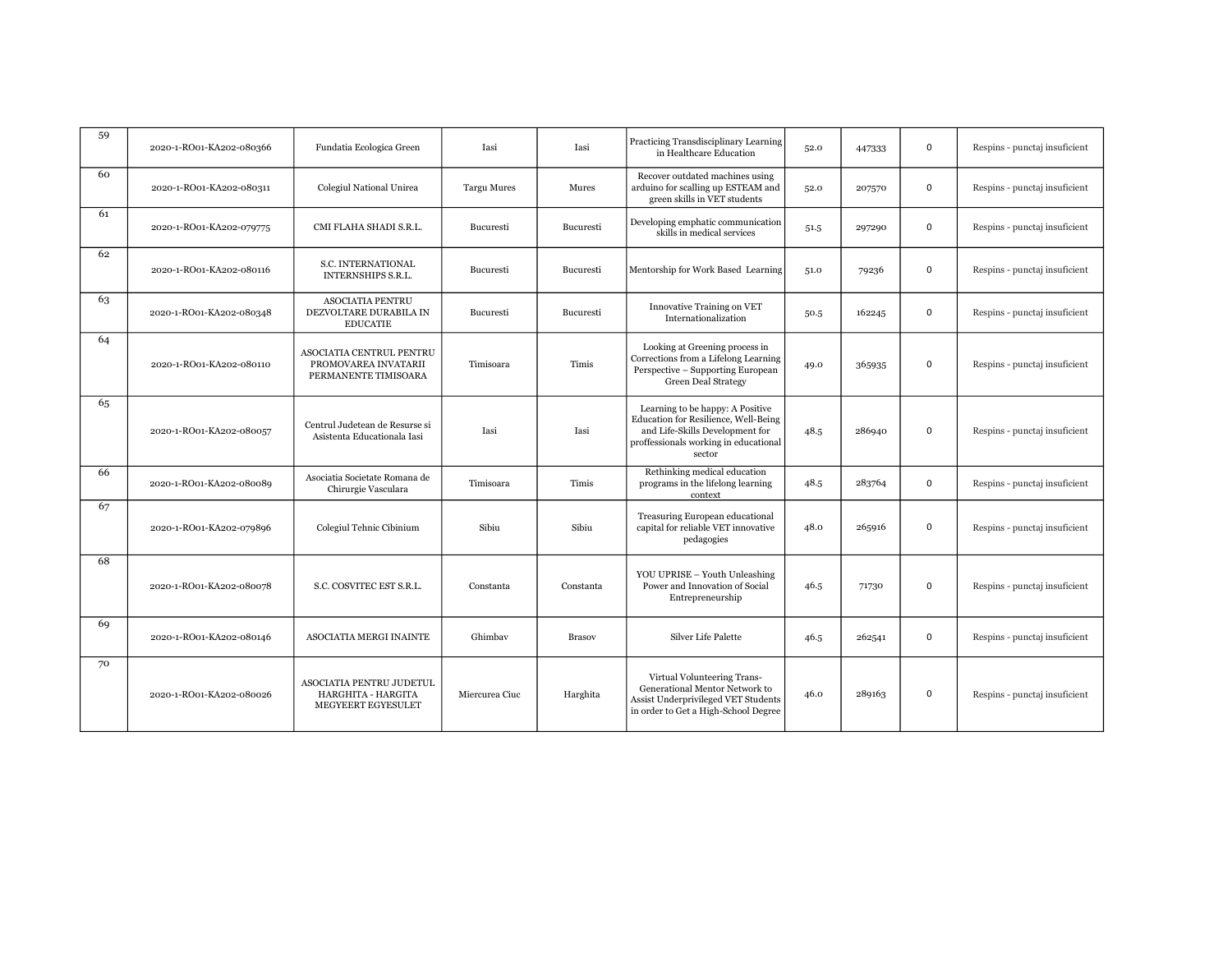| 59 | 2020-1-RO01-KA202-080366 | Fundatia Ecologica Green                                                 | Iasi               | Iasi          | Practicing Transdisciplinary Learning<br>in Healthcare Education                                                                                               | 52.0 | 447333 | $\mathbf 0$ | Respins - punctaj insuficient |
|----|--------------------------|--------------------------------------------------------------------------|--------------------|---------------|----------------------------------------------------------------------------------------------------------------------------------------------------------------|------|--------|-------------|-------------------------------|
| 60 | 2020-1-RO01-KA202-080311 | Colegiul National Unirea                                                 | <b>Targu Mures</b> | Mures         | Recover outdated machines using<br>arduino for scalling up ESTEAM and<br>green skills in VET students                                                          | 52.0 | 207570 | $\mathbf 0$ | Respins - punctaj insuficient |
| 61 | 2020-1-RO01-KA202-079775 | CMI FLAHA SHADI S.R.L.                                                   | Bucuresti          | Bucuresti     | Developing emphatic communication<br>skills in medical services                                                                                                | 51.5 | 297290 | $\mathbf 0$ | Respins - punctaj insuficient |
| 62 | 2020-1-RO01-KA202-080116 | S.C. INTERNATIONAL<br><b>INTERNSHIPS S.R.L.</b>                          | Bucuresti          | Bucuresti     | Mentorship for Work Based Learning                                                                                                                             | 51.0 | 79236  | 0           | Respins - punctaj insuficient |
| 63 | 2020-1-RO01-KA202-080348 | <b>ASOCIATIA PENTRU</b><br>DEZVOLTARE DURABILA IN<br><b>EDUCATIE</b>     | Bucuresti          | Bucuresti     | <b>Innovative Training on VET</b><br>Internationalization                                                                                                      | 50.5 | 162245 | $\mathbf 0$ | Respins - punctaj insuficient |
| 64 | 2020-1-RO01-KA202-080110 | ASOCIATIA CENTRUL PENTRU<br>PROMOVAREA INVATARII<br>PERMANENTE TIMISOARA | Timisoara          | Timis         | Looking at Greening process in<br>Corrections from a Lifelong Learning<br>Perspective - Supporting European<br><b>Green Deal Strategy</b>                      | 49.0 | 365935 | 0           | Respins - punctaj insuficient |
| 65 | 2020-1-RO01-KA202-080057 | Centrul Judetean de Resurse si<br>Asistenta Educationala Iasi            | Iasi               | Iasi          | Learning to be happy: A Positive<br>Education for Resilience, Well-Being<br>and Life-Skills Development for<br>proffessionals working in educational<br>sector | 48.5 | 286940 | 0           | Respins - punctaj insuficient |
| 66 | 2020-1-RO01-KA202-080089 | Asociatia Societate Romana de<br>Chirurgie Vasculara                     | Timisoara          | Timis         | Rethinking medical education<br>programs in the lifelong learning<br>context                                                                                   | 48.5 | 283764 | 0           | Respins - punctaj insuficient |
| 67 | 2020-1-RO01-KA202-079896 | Colegiul Tehnic Cibinium                                                 | Sibiu              | Sibiu         | Treasuring European educational<br>capital for reliable VET innovative<br>pedagogies                                                                           | 48.0 | 265916 | $\mathbf 0$ | Respins - punctaj insuficient |
| 68 | 2020-1-RO01-KA202-080078 | S.C. COSVITEC EST S.R.L.                                                 | Constanta          | Constanta     | YOU UPRISE - Youth Unleashing<br>Power and Innovation of Social<br>Entrepreneurship                                                                            | 46.5 | 71730  | $\Omega$    | Respins - punctaj insuficient |
| 69 | 2020-1-RO01-KA202-080146 | ASOCIATIA MERGI INAINTE                                                  | Ghimbay            | <b>Brasov</b> | Silver Life Palette                                                                                                                                            | 46.5 | 262541 | $\mathbf 0$ | Respins - punctaj insuficient |
| 70 | 2020-1-RO01-KA202-080026 | ASOCIATIA PENTRU JUDETUL<br>HARGHITA - HARGITA<br>MEGYEERT EGYESULET     | Miercurea Ciuc     | Harghita      | Virtual Volunteering Trans-<br>Generational Mentor Network to<br>Assist Underprivileged VET Students<br>in order to Get a High-School Degree                   | 46.0 | 289163 | $\mathbf 0$ | Respins - punctaj insuficient |